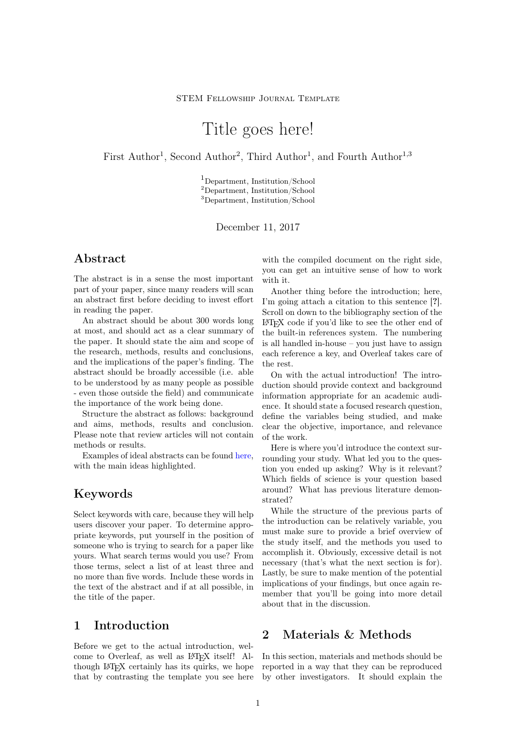# Title goes here!

First Author<sup>1</sup>, Second Author<sup>2</sup>, Third Author<sup>1</sup>, and Fourth Author<sup>1,3</sup>

<sup>1</sup>Department, Institution/School <sup>2</sup>Department, Institution/School <sup>3</sup>Department, Institution/School

December 11, 2017

### Abstract

The abstract is in a sense the most important part of your paper, since many readers will scan an abstract first before deciding to invest effort in reading the paper.

An abstract should be about 300 words long at most, and should act as a clear summary of the paper. It should state the aim and scope of the research, methods, results and conclusions, and the implications of the paper's finding. The abstract should be broadly accessible (i.e. able to be understood by as many people as possible - even those outside the field) and communicate the importance of the work being done.

Structure the abstract as follows: background and aims, methods, results and conclusion. Please note that review articles will not contain methods or results.

Examples of ideal abstracts can be found [here,](http://journal.stemfellowship.org/userimages/ContentEditor/1451371646443/AbstractExamples.pdf) with the main ideas highlighted.

# Keywords

Select keywords with care, because they will help users discover your paper. To determine appropriate keywords, put yourself in the position of someone who is trying to search for a paper like yours. What search terms would you use? From those terms, select a list of at least three and no more than five words. Include these words in the text of the abstract and if at all possible, in the title of the paper.

#### 1 Introduction

Before we get to the actual introduction, welcome to Overleaf, as well as IAT<sub>EX</sub> itself! Although LATEX certainly has its quirks, we hope that by contrasting the template you see here with the compiled document on the right side, you can get an intuitive sense of how to work with it.

Another thing before the introduction; here, I'm going attach a citation to this sentence [?]. Scroll on down to the bibliography section of the LATEX code if you'd like to see the other end of the built-in references system. The numbering is all handled in-house – you just have to assign each reference a key, and Overleaf takes care of the rest.

On with the actual introduction! The introduction should provide context and background information appropriate for an academic audience. It should state a focused research question, define the variables being studied, and make clear the objective, importance, and relevance of the work.

Here is where you'd introduce the context surrounding your study. What led you to the question you ended up asking? Why is it relevant? Which fields of science is your question based around? What has previous literature demonstrated?

While the structure of the previous parts of the introduction can be relatively variable, you must make sure to provide a brief overview of the study itself, and the methods you used to accomplish it. Obviously, excessive detail is not necessary (that's what the next section is for). Lastly, be sure to make mention of the potential implications of your findings, but once again remember that you'll be going into more detail about that in the discussion.

#### 2 Materials & Methods

In this section, materials and methods should be reported in a way that they can be reproduced by other investigators. It should explain the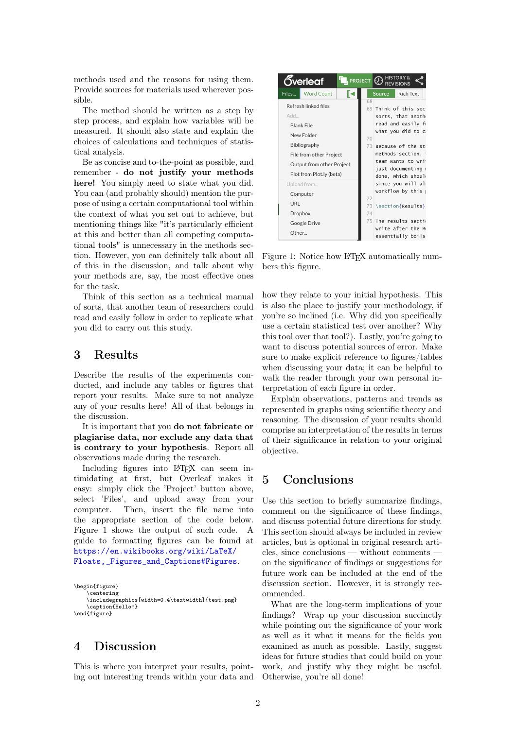methods used and the reasons for using them. Provide sources for materials used wherever possible.

The method should be written as a step by step process, and explain how variables will be measured. It should also state and explain the choices of calculations and techniques of statistical analysis.

Be as concise and to-the-point as possible, and remember - do not justify your methods here! You simply need to state what you did. You can (and probably should) mention the purpose of using a certain computational tool within the context of what you set out to achieve, but mentioning things like "it's particularly efficient at this and better than all competing computational tools" is unnecessary in the methods section. However, you can definitely talk about all of this in the discussion, and talk about why your methods are, say, the most effective ones for the task.

Think of this section as a technical manual of sorts, that another team of researchers could read and easily follow in order to replicate what you did to carry out this study.

#### 3 Results

Describe the results of the experiments conducted, and include any tables or figures that report your results. Make sure to not analyze any of your results here! All of that belongs in the discussion.

It is important that you do not fabricate or plagiarise data, nor exclude any data that is contrary to your hypothesis. Report all observations made during the research.

Including figures into LATEX can seem intimidating at first, but Overleaf makes it easy: simply click the 'Project' button above, select 'Files', and upload away from your computer. Then, insert the file name into the appropriate section of the code below. Figure 1 shows the output of such code. A guide to formatting figures can be found at [https://en.wikibooks.org/wiki/LaTeX/](https://en.wikibooks.org/wiki/LaTeX/Floats,_Figures_and_Captions#Figures) [Floats,\\_Figures\\_and\\_Captions#Figures](https://en.wikibooks.org/wiki/LaTeX/Floats,_Figures_and_Captions#Figures).

\begin{figure} \centering \includegraphics[width=0.4\textwidth]{test.png} \caption{Hello!} \end{figure}

#### 4 Discussion

This is where you interpret your results, pointing out interesting trends within your data and



Figure 1: Notice how LAT<sub>EX</sub> automatically numbers this figure.

how they relate to your initial hypothesis. This is also the place to justify your methodology, if you're so inclined (i.e. Why did you specifically use a certain statistical test over another? Why this tool over that tool?). Lastly, you're going to want to discuss potential sources of error. Make sure to make explicit reference to figures/tables when discussing your data; it can be helpful to walk the reader through your own personal interpretation of each figure in order.

Explain observations, patterns and trends as represented in graphs using scientific theory and reasoning. The discussion of your results should comprise an interpretation of the results in terms of their significance in relation to your original objective.

# 5 Conclusions

Use this section to briefly summarize findings, comment on the significance of these findings, and discuss potential future directions for study. This section should always be included in review articles, but is optional in original research arti $c$ les, since conclusions — without comments on the significance of findings or suggestions for future work can be included at the end of the discussion section. However, it is strongly recommended.

What are the long-term implications of your findings? Wrap up your discussion succinctly while pointing out the significance of your work as well as it what it means for the fields you examined as much as possible. Lastly, suggest ideas for future studies that could build on your work, and justify why they might be useful. Otherwise, you're all done!